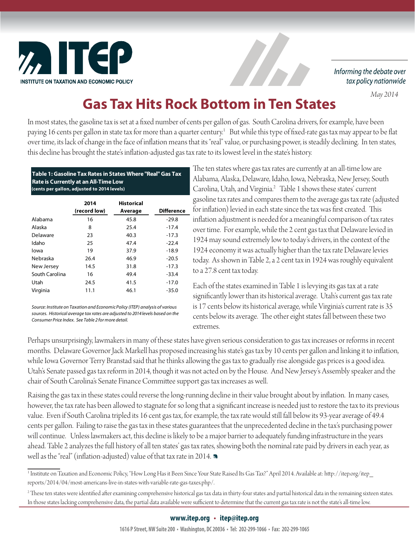

Informing the debate over tax policy nationwide

 *May 2014*

## **Gas Tax Hits Rock Bottom in Ten States**

In most states, the gasoline tax is set at a fixed number of cents per gallon of gas. South Carolina drivers, for example, have been paying 16 cents per gallon in state tax for more than a quarter century.<sup>1</sup> But while this type of fixed-rate gas tax may appear to be flat over time, its lack of change in the face of inflation means that its "real" value, or purchasing power, is steadily declining. In ten states, this decline has brought the state's inflation-adjusted gas tax rate to its lowest level in the state's history.

| Table 1: Gasoline Tax Rates in States Where "Real" Gas Tax |
|------------------------------------------------------------|
| <b>Rate is Currently at an All-Time Low</b>                |
| (cents per gallon, adjusted to 2014 levels)                |

|                | 2014<br>(record low) | <b>Historical</b><br>Average | <b>Difference</b> |
|----------------|----------------------|------------------------------|-------------------|
| Alabama        | 16                   | 45.8                         | $-29.8$           |
| Alaska         | 8                    | 25.4                         | $-17.4$           |
| Delaware       | 23                   | 40.3                         | $-17.3$           |
| Idaho          | 25                   | 47.4                         | $-22.4$           |
| lowa           | 19                   | 37.9                         | $-18.9$           |
| Nebraska       | 26.4                 | 46.9                         | $-20.5$           |
| New Jersey     | 14.5                 | 31.8                         | $-17.3$           |
| South Carolina | 16                   | 49.4                         | $-33.4$           |
| Utah           | 24.5                 | 41.5                         | $-17.0$           |
| Virginia       | 11.1                 | 46.1                         | $-35.0$           |

*Source: Institute on Taxation and Economic Policy (ITEP) analysis of various sources. Historical average tax rates are adjusted to 2014 levels based on the Consumer Price Index. See Table 2 for more detail.*

The ten states where gas tax rates are currently at an all-time low are Alabama, Alaska, Delaware, Idaho, Iowa, Nebraska, New Jersey, South Carolina, Utah, and Virginia.<sup>2</sup> Table 1 shows these states' current gasoline tax rates and compares them to the average gas tax rate (adjusted for inflation) levied in each state since the tax was first created. This inflation adjustment is needed for a meaningful comparison of tax rates over time. For example, while the 2 cent gas tax that Delaware levied in 1924 may sound extremely low to today's drivers, in the context of the 1924 economy it was actually higher than the tax rate Delaware levies today. As shown in Table 2, a 2 cent tax in 1924 was roughly equivalent to a 27.8 cent tax today.

Each of the states examined in Table 1 is levying its gas tax at a rate significantly lower than its historical average. Utah's current gas tax rate is 17 cents below its historical average, while Virginia's current rate is 35 cents below its average. The other eight states fall between these two extremes.

Perhaps unsurprisingly, lawmakers in many of these states have given serious consideration to gas tax increases or reforms in recent months. Delaware Governor Jack Markell has proposed increasing his state's gas tax by 10 cents per gallon and linking it to inflation, while Iowa Governor Terry Branstad said that he thinks allowing the gas tax to gradually rise alongside gas prices is a good idea. Utah's Senate passed gas tax reform in 2014, though it was not acted on by the House. And New Jersey's Assembly speaker and the chair of South Carolina's Senate Finance Committee support gas tax increases as well.

Raising the gas tax in these states could reverse the long-running decline in their value brought about by inflation. In many cases, however, the tax rate has been allowed to stagnate for so long that a significant increase is needed just to restore the tax to its previous value. Even if South Carolina tripled its 16 cent gas tax, for example, the tax rate would still fall below its 93-year average of 49.4 cents per gallon. Failing to raise the gas tax in these states guarantees that the unprecedented decline in the tax's purchasing power will continue. Unless lawmakers act, this decline is likely to be a major barrier to adequately funding infrastructure in the years ahead. Table 2 analyzes the full history of all ten states' gas tax rates, showing both the nominal rate paid by drivers in each year, as well as the "real" (inflation-adjusted) value of that tax rate in 2014.  $\blacksquare$ 

<sup>1</sup> Institute on Taxation and Economic Policy, "How Long Has it Been Since Your State Raised Its Gas Tax?" April 2014. Available at: htt p://itep.org/itep\_ reports/2014/04/most-americans-live-in-states-with-variable-rate-gas-taxes.php/.

 $^2$  These ten states were identified after examining comprehensive historical gas tax data in thirty-four states and partial historical data in the remaining sixteen states. In those states lacking comprehensive data, the partial data available were sufficient to determine that the current gas tax rate is not the state's all-time low.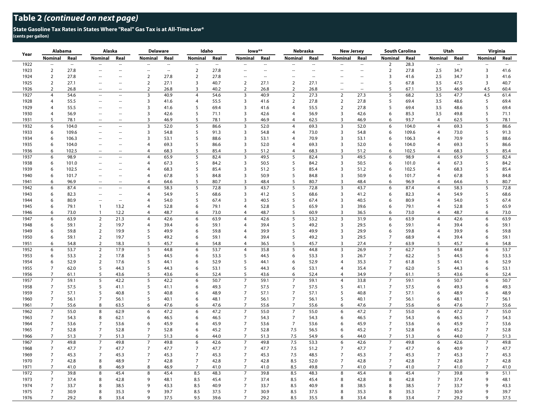## **State Gasoline Tax Rates in States Where "Real" Gas Tax is at All-Time Low\* (cents per gallon)**

| Year | Alabama        |                          | Alaska                      |                          | <b>Delaware</b>             |        | Idaho          |               | lowa**                   |        | Nebraska       |        | <b>New Jersey</b>       |                          | <b>South Carolina</b> |       | Utah                     |        | Virginia                 |        |
|------|----------------|--------------------------|-----------------------------|--------------------------|-----------------------------|--------|----------------|---------------|--------------------------|--------|----------------|--------|-------------------------|--------------------------|-----------------------|-------|--------------------------|--------|--------------------------|--------|
|      | <b>Nominal</b> | Real                     | <b>Nominal</b>              | Real                     | Nominal                     | Real   | <b>Nominal</b> | Real          | <b>Nominal</b>           | Real   | Nominal        | Real   | <b>Nominal</b>          | Real                     | <b>Nominal</b>        | Real  | Nominal                  | Real   | <b>Nominal</b>           | Real   |
| 1922 | $\sim$         | $\overline{\phantom{a}}$ | $\sim$                      | $\overline{\phantom{a}}$ | $\mathcal{L}_{\mathcal{A}}$ | $\sim$ | $\sim$ $\sim$  | $\sim$ $\sim$ | $\sim$                   | $\sim$ | $\overline{a}$ | $\sim$ | Ξ.                      | $\overline{\phantom{a}}$ | $\overline{2}$        | 28.3  | $\overline{\phantom{a}}$ | $\sim$ | $\overline{\phantom{a}}$ | $\sim$ |
| 1923 | $\overline{2}$ | 27.8                     | $\sim$                      | $\sim$                   | $\sim$                      | $\sim$ | $\overline{2}$ | 27.8          | $\sim$                   | $\sim$ |                |        | Ξ.                      | $\sim$                   | $\overline{2}$        | 27.8  | 2.5                      | 34.7   | 3                        | 41.6   |
| 1924 | $\mathbf 2$    | 27.8                     | $\overline{\phantom{a}}$    | $\overline{\phantom{a}}$ | $\overline{2}$              | 27.8   | $\mathbf 2$    | 27.8          | $\overline{\phantom{a}}$ | $\sim$ | н.             | $\sim$ |                         | ٠.                       | $\overline{3}$        | 41.6  | 2.5                      | 34.7   | $\overline{3}$           | 41.6   |
| 1925 | $\overline{2}$ | 27.1                     | $\sim$                      | $\overline{\phantom{a}}$ | $\overline{2}$              | 27.1   | 3              | 40.7          | $\overline{2}$           | 27.1   | $\overline{2}$ | 27.1   | Ξ.                      | ц,                       | 5                     | 67.8  | 3.5                      | 47.5   | 3                        | 40.7   |
| 1926 | $\overline{2}$ | 26.8                     |                             | $\sim$                   | $\overline{2}$              | 26.8   | $\overline{3}$ | 40.2          | $\overline{2}$           | 26.8   | $\overline{2}$ | 26.8   |                         |                          | 5                     | 67.1  | 3.5                      | 46.9   | 4.5                      | 60.4   |
| 1927 | $\overline{4}$ | 54.6                     | $\sim$                      | $\sim$                   | $\overline{\mathbf{3}}$     | 40.9   | $\overline{4}$ | 54.6          | $\overline{\mathbf{3}}$  | 40.9   | $\overline{2}$ | 27.3   | $\overline{2}$          | 27.3                     | 5                     | 68.2  | 3.5                      | 47.7   | 4.5                      | 61.4   |
| 1928 | 4              | 55.5                     | $\sim$                      | $\sim$                   | 3                           | 41.6   | $\overline{4}$ | 55.5          | 3                        | 41.6   | $\overline{2}$ | 27.8   | $\overline{2}$          | 27.8                     | 5                     | 69.4  | 3.5                      | 48.6   | 5                        | 69.4   |
| 1929 | $\overline{4}$ | 55.5                     |                             |                          | $\overline{3}$              | 41.6   | 5              | 69.4          | $\overline{3}$           | 41.6   | 4              | 55.5   | $\overline{2}$          | 27.8                     | 5                     | 69.4  | 3.5                      | 48.6   | 5                        | 69.4   |
| 1930 | $\overline{4}$ | 56.9                     | $\sim$                      | $\overline{\phantom{a}}$ | 3                           | 42.6   | 5              | 71.1          | 3                        | 42.6   | $\overline{4}$ | 56.9   | 3                       | 42.6                     | 6                     | 85.3  | 3.5                      | 49.8   | 5                        | 71.1   |
| 1931 | 5              | 78.1                     | $\sim$                      | $\sim$                   | 3                           | 46.9   | 5              | 78.1          | 3                        | 46.9   | $\overline{4}$ | 62.5   | 3                       | 46.9                     | 6                     | 93.7  | 4                        | 62.5   | 5                        | 78.1   |
| 1932 | 6              | 104.0                    | $\sim$                      | $\sim$                   | $\overline{\mathbf{3}}$     | 52.0   | 5              | 86.6          | $\overline{3}$           | 52.0   | $\overline{4}$ | 69.3   | $\overline{3}$          | 52.0                     | $\boldsymbol{6}$      | 104.0 | $\overline{4}$           | 69.3   | 5                        | 86.6   |
| 1933 | 6              | 109.6                    | $\sim$                      | $\overline{\phantom{a}}$ | $\overline{3}$              | 54.8   | 5              | 91.3          | 3                        | 54.8   | 4              | 73.0   | 3                       | 54.8                     | 6                     | 109.6 | $\overline{4}$           | 73.0   | 5                        | 91.3   |
| 1934 | 6              | 106.3                    |                             | $\overline{\phantom{a}}$ | 3                           | 53.1   | 5              | 88.6          | 3                        | 53.1   | $\overline{4}$ | 70.9   | $\overline{3}$          | 53.1                     | 6                     | 106.3 | $\overline{4}$           | 70.9   | 5                        | 88.6   |
| 1935 | 6              | 104.0                    | $\sim$                      | $\sim$                   | $\overline{4}$              | 69.3   | 5              | 86.6          | 3                        | 52.0   | $\overline{4}$ | 69.3   | $\overline{\mathbf{3}}$ | 52.0                     | 6                     | 104.0 | $\overline{4}$           | 69.3   | 5                        | 86.6   |
| 1936 | 6              | 102.5                    | $\sim$                      | $\sim$                   | $\overline{4}$              | 68.3   | 5              | 85.4          | 3                        | 51.2   | $\overline{4}$ | 68.3   | 3                       | 51.2                     | 6                     | 102.5 | 4                        | 68.3   | 5                        | 85.4   |
| 1937 | 6              | 98.9                     | Ξ.                          | ÷.                       | $\overline{4}$              | 65.9   | 5              | 82.4          | $\overline{3}$           | 49.5   | 5              | 82.4   | $\overline{3}$          | 49.5                     | 6                     | 98.9  | $\overline{4}$           | 65.9   | 5                        | 82.4   |
| 1938 | 6              | 101.0                    | $\sim$                      | $\overline{\phantom{a}}$ | 4                           | 67.3   | 5              | 84.2          | $\overline{\mathbf{3}}$  | 50.5   | 5              | 84.2   | 3                       | 50.5                     | 6                     | 101.0 | $\overline{4}$           | 67.3   | 5                        | 84.2   |
| 1939 | 6              | 102.5                    | $\sim$                      | $\overline{\phantom{a}}$ | 4                           | 68.3   | 5              | 85.4          | 3                        | 51.2   | 5              | 85.4   | 3                       | 51.2                     | 6                     | 102.5 | $\overline{4}$           | 68.3   | 5                        | 85.4   |
| 1940 | 6              | 101.7                    | $\sim$                      | $\sim$                   | $\overline{4}$              | 67.8   | 5              | 84.8          | $\overline{3}$           | 50.9   | 5              | 84.8   | 3                       | 50.9                     | 6                     | 101.7 | $\overline{4}$           | 67.8   | 5                        | 84.8   |
| 1941 | 6              | 96.9                     |                             | $\overline{\phantom{a}}$ | 4                           | 64.6   | 5              | 80.7          | $\overline{3}$           | 48.4   | 5              | 80.7   | $\overline{3}$          | 48.4                     | 6                     | 96.9  | $\overline{4}$           | 64.6   | 5                        | 80.7   |
| 1942 | 6              | 87.4                     | $\sim$                      | $\sim$                   | 4                           | 58.3   | 5              | 72.8          | $\overline{\mathbf{3}}$  | 43.7   | 5              | 72.8   | $\mathbf{3}$            | 43.7                     | 6                     | 87.4  | $\overline{4}$           | 58.3   | 5                        | 72.8   |
| 1943 | 6              | 82.3                     | $\mathcal{L}_{\mathcal{A}}$ | $\overline{\phantom{a}}$ | $\overline{4}$              | 54.9   | 5              | 68.6          | $\overline{3}$           | 41.2   | 5              | 68.6   | 3                       | 41.2                     | 6                     | 82.3  | $\overline{4}$           | 54.9   | 5                        | 68.6   |
| 1944 | 6              | 80.9                     | $\overline{\phantom{a}}$    | $\overline{\phantom{a}}$ | 4                           | 54.0   | 5              | 67.4          | $\overline{3}$           | 40.5   | 5              | 67.4   | $\overline{3}$          | 40.5                     | 6                     | 80.9  | 4                        | 54.0   | 5                        | 67.4   |
| 1945 | 6              | 79.1                     | $\overline{1}$              | 13.2                     | $\overline{4}$              | 52.8   | 6              | 79.1          | $\overline{4}$           | 52.8   | 5              | 65.9   | $\overline{3}$          | 39.6                     | 6                     | 79.1  | $\overline{4}$           | 52.8   | 5                        | 65.9   |
| 1946 | 6              | 73.0                     | $\mathbf{1}$                | 12.2                     | $\overline{4}$              | 48.7   | 6              | 73.0          | $\overline{4}$           | 48.7   | 5              | 60.9   | 3                       | 36.5                     | 6                     | 73.0  | $\overline{4}$           | 48.7   | 6                        | 73.0   |
| 1947 | 6              | 63.9                     | $\overline{2}$              | 21.3                     | $\overline{4}$              | 42.6   | 6              | 63.9          | $\overline{4}$           | 42.6   | 5              | 53.2   | $\overline{3}$          | 31.9                     | 6                     | 63.9  | 4                        | 42.6   | 6                        | 63.9   |
| 1948 | 6              | 59.1                     | $\overline{2}$              | 19.7                     | $\overline{4}$              | 39.4   | 6              | 59.1          | $\overline{4}$           | 39.4   | 5              | 49.2   | 3                       | 29.5                     | 6                     | 59.1  | $\overline{4}$           | 39.4   | 6                        | 59.1   |
| 1949 | 6              | 59.8                     | $\overline{2}$              | 19.9                     | 5                           | 49.9   | 6              | 59.8          | $\overline{4}$           | 39.9   | 5              | 49.9   | $\overline{3}$          | 29.9                     | 6                     | 59.8  | 4                        | 39.9   | 6                        | 59.8   |
| 1950 | 6              | 59.1                     | $\overline{2}$              | 19.7                     | 5                           | 49.2   | 6              | 59.1          | $\overline{4}$           | 39.4   | 5              | 49.2   | 3                       | 29.5                     | $\overline{7}$        | 68.9  | $\overline{4}$           | 39.4   | 6                        | 59.1   |
|      | 6              |                          |                             |                          |                             |        |                |               | $\overline{4}$           |        | 5              |        | $\overline{3}$          |                          | $\overline{7}$        |       |                          |        |                          |        |
| 1951 |                | 54.8                     | $\overline{2}$              | 18.3                     | 5<br>$5\phantom{.0}$        | 45.7   | 6              | 54.8          |                          | 36.5   |                | 45.7   | $\overline{3}$          | 27.4                     | $\overline{7}$        | 63.9  | 5                        | 45.7   | 6                        | 54.8   |
| 1952 | 6              | 53.7                     | $\overline{2}$              | 17.9                     |                             | 44.8   | 6              | 53.7          | $\overline{4}$           | 35.8   | 5              | 44.8   |                         | 26.9                     |                       | 62.7  | 5                        | 44.8   | 6                        | 53.7   |
| 1953 | 6              | 53.3                     | $\overline{2}$              | 17.8                     | 5                           | 44.5   | 6              | 53.3          | 5                        | 44.5   | 6              | 53.3   | $\overline{3}$          | 26.7                     | $\overline{7}$        | 62.2  | 5                        | 44.5   | 6                        | 53.3   |
| 1954 | 6              | 52.9                     | $\overline{2}$              | 17.6                     | 5                           | 44.1   | 6              | 52.9          | 5                        | 44.1   | 6              | 52.9   | 4                       | 35.3                     | $\overline{7}$        | 61.8  | 5                        | 44.1   | 6                        | 52.9   |
| 1955 | $\overline{7}$ | 62.0                     | 5                           | 44.3                     | 5                           | 44.3   | 6              | 53.1          | 5                        | 44.3   | 6              | 53.1   | 4                       | 35.4                     | $\overline{7}$        | 62.0  | 5                        | 44.3   | 6                        | 53.1   |
| 1956 | $\overline{7}$ | 61.1                     | 5                           | 43.6                     | 5                           | 43.6   | 6              | 52.4          | 5                        | 43.6   | 6              | 52.4   | $\overline{4}$          | 34.9                     | $\overline{7}$        | 61.1  | 5                        | 43.6   | 6                        | 52.4   |
| 1957 | $\overline{7}$ | 59.1                     | 5                           | 42.2                     | 5                           | 42.2   | 6              | 50.7          | $\overline{7}$           | 59.1   | $\overline{7}$ | 59.1   | $\overline{4}$          | 33.8                     | $\overline{7}$        | 59.1  | 6                        | 50.7   | 6                        | 50.7   |
| 1958 | $\overline{7}$ | 57.5                     | 5                           | 41.1                     | 5                           | 41.1   | 6              | 49.3          | $\overline{7}$           | 57.5   | 7              | 57.5   | 5                       | 41.1                     | $\overline{7}$        | 57.5  | 6                        | 49.3   | 6                        | 49.3   |
| 1959 | $\overline{7}$ | 57.1                     | 5                           | 40.8                     | 5                           | 40.8   | 6              | 48.9          | $\overline{7}$           | 57.1   | $\overline{7}$ | 57.1   | 5                       | 40.8                     | $\overline{7}$        | 57.1  | 6                        | 48.9   | 6                        | 48.9   |
| 1960 | $\overline{7}$ | 56.1                     | $\overline{7}$              | 56.1                     | 5                           | 40.1   | 6              | 48.1          | $\overline{7}$           | 56.1   | $\overline{7}$ | 56.1   | 5                       | 40.1                     | $\overline{7}$        | 56.1  | 6                        | 48.1   | $\overline{7}$           | 56.1   |
| 1961 | $\overline{7}$ | 55.6                     | 8                           | 63.5                     | 6                           | 47.6   | 6              | 47.6          | $\overline{7}$           | 55.6   | $\overline{7}$ | 55.6   | 6                       | 47.6                     | $\overline{7}$        | 55.6  | 6                        | 47.6   | $\overline{7}$           | 55.6   |
| 1962 | $\overline{7}$ | 55.0                     | 8                           | 62.9                     | 6                           | 47.2   | 6              | 47.2          | $\overline{7}$           | 55.0   | $\overline{7}$ | 55.0   | 6                       | 47.2                     | $\overline{7}$        | 55.0  | 6                        | 47.2   | $\overline{7}$           | 55.0   |
| 1963 | $\overline{7}$ | 54.3                     | 8                           | 62.1                     | 6                           | 46.5   | 6              | 46.5          | $\overline{7}$           | 54.3   | $\overline{7}$ | 54.3   | 6                       | 46.5                     | $\overline{7}$        | 54.3  | 6                        | 46.5   | $\overline{7}$           | 54.3   |
| 1964 | $\overline{7}$ | 53.6                     | $\overline{7}$              | 53.6                     | 6                           | 45.9   | 6              | 45.9          | $\overline{7}$           | 53.6   | $\overline{7}$ | 53.6   | 6                       | 45.9                     | $\overline{7}$        | 53.6  | 6                        | 45.9   | $\overline{7}$           | 53.6   |
| 1965 | $\overline{7}$ | 52.8                     | $\overline{7}$              | 52.8                     | $\overline{7}$              | 52.8   | 6              | 45.2          | $\overline{7}$           | 52.8   | 7.5            | 56.5   | 6                       | 45.2                     | $\overline{7}$        | 52.8  | 6                        | 45.2   | $\overline{7}$           | 52.8   |
| 1966 | $\overline{7}$ | 51.3                     | $\overline{7}$              | 51.3                     | $\overline{7}$              | 51.3   | 6              | 44.0          | $\overline{7}$           | 51.3   | 7.5            | 54.9   | 6                       | 44.0                     | $\overline{7}$        | 51.3  | 6                        | 44.0   | $\overline{7}$           | 51.3   |
| 1967 | $\overline{7}$ | 49.8                     | $\overline{7}$              | 49.8                     | $\overline{7}$              | 49.8   | 6              | 42.6          | $\overline{7}$           | 49.8   | $7.5\,$        | 53.3   | 6                       | 42.6                     | $\overline{7}$        | 49.8  | 6                        | 42.6   | $\overline{7}$           | 49.8   |
| 1968 | $\overline{7}$ | 47.7                     | $\overline{7}$              | 47.7                     | $\overline{7}$              | 47.7   | $\overline{7}$ | 47.7          | $\overline{7}$           | 47.7   | 7.5            | 51.2   | $\overline{7}$          | 47.7                     | $\overline{7}$        | 47.7  | 6                        | 40.9   | $\overline{7}$           | 47.7   |
| 1969 | $\overline{7}$ | 45.3                     | $\overline{7}$              | 45.3                     | $\overline{7}$              | 45.3   | $\overline{7}$ | 45.3          | $\overline{7}$           | 45.3   | 7.5            | 48.5   | $\overline{7}$          | 45.3                     | $\overline{7}$        | 45.3  | 7                        | 45.3   | $\overline{7}$           | 45.3   |
| 1970 | $\overline{7}$ | 42.8                     | 8                           | 48.9                     | $\overline{7}$              | 42.8   | $\overline{7}$ | 42.8          | $\overline{7}$           | 42.8   | 8.5            | 52.0   | $\overline{7}$          | 42.8                     | $\overline{7}$        | 42.8  | $\overline{7}$           | 42.8   | $\overline{7}$           | 42.8   |
| 1971 | $\overline{7}$ | 41.0                     | 8                           | 46.9                     | 8                           | 46.9   | $\overline{7}$ | 41.0          | $\overline{7}$           | 41.0   | 8.5            | 49.8   | $\overline{7}$          | 41.0                     | $\overline{7}$        | 41.0  | $\overline{7}$           | 41.0   | $\overline{7}$           | 41.0   |
| 1972 | $\overline{7}$ | 39.8                     | 8                           | 45.4                     | 8                           | 45.4   | 8.5            | 48.3          | $\overline{7}$           | 39.8   | 8.5            | 48.3   | 8                       | 45.4                     | $\,8\,$               | 45.4  | $\overline{7}$           | 39.8   | 9                        | 51.1   |
| 1973 | $\overline{7}$ | 37.4                     | 8                           | 42.8                     | 9                           | 48.1   | 8.5            | 45.4          | $\overline{7}$           | 37.4   | 8.5            | 45.4   | 8                       | 42.8                     | 8                     | 42.8  | $\overline{7}$           | 37.4   | 9                        | 48.1   |
| 1974 | $\overline{7}$ | 33.7                     | 8                           | 38.5                     | 9                           | 43.3   | 8.5            | 40.9          | $\overline{7}$           | 33.7   | 8.5            | 40.9   | 8                       | 38.5                     | 8                     | 38.5  | $\overline{7}$           | 33.7   | 9                        | 43.3   |
| 1975 | $\overline{7}$ | 30.9                     | 8                           | 35.3                     | 9                           | 39.7   | 8.5            | 37.5          | $\overline{7}$           | 30.9   | 8.5            | 37.5   | 8                       | 35.3                     | 8                     | 35.3  | $\overline{7}$           | 30.9   | 9                        | 39.7   |
| 1976 | $\overline{7}$ | 29.2                     | $\mathbf{8}$                | 33.4                     | $\mathbf{Q}$                | 37.5   | 9.5            | 39.6          | $\overline{7}$           | 29.2   | 8.5            | 35.5   | 8                       | 33.4                     | $\mathbf{g}$          | 33.4  | $\overline{7}$           | 29.2   | 9                        | 37.5   |